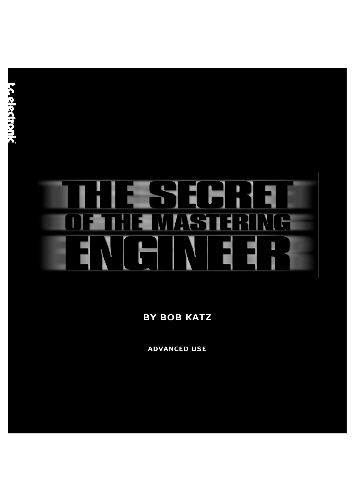### I  $\blacksquare$ I ı ì I Q F ŀ b I

BY BOB KATZ

**ADVANCED USE**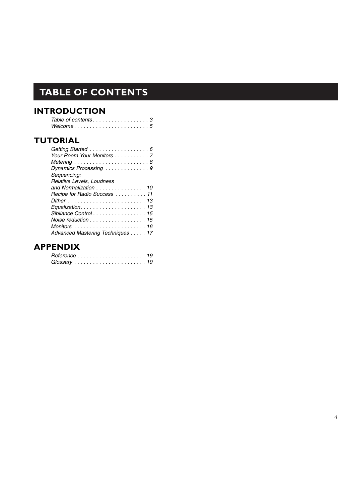### **TABLE OF CONTENTS**

### **INTRODUCTION**

| Table of contents 3 |  |  |  |  |  |  |  |  |  |
|---------------------|--|--|--|--|--|--|--|--|--|
|                     |  |  |  |  |  |  |  |  |  |

### **TUTORIAL**

### **APPENDIX**

| Glossary  19 |  |
|--------------|--|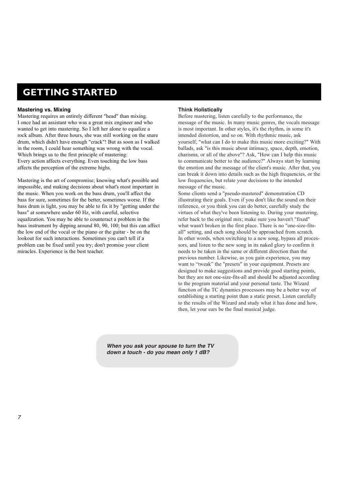## **GETTING STARTED**

#### **Mastering vs. Mixing**

Mastering requires an entirely different "head" than mixing. I once had an assistant who was a great mix engineer and who wanted to get into mastering. So I left her alone to equalize a rock album. After three hours, she was still working on the snare drum, which didn't have enough "crack"! But as soon as I walked in the room, I could hear something was wrong with the vocal. Which brings us to the first principle of mastering: Every action affects everything. Even touching the low bass affects the perception of the extreme highs.

Mastering is the art of compromise; knowing what's possible and impossible, and making decisions about what's most important in the music. When you work on the bass drum, you'll affect the bass for sure, sometimes for the better, sometimes worse. If the bass drum is light, you may be able to fix it by "getting under the bass" at somewhere under 60 Hz, with careful, selective equalization. You may be able to counteract a problem in the bass instrument by dipping around 80, 90, 100; but this can affect the low end of the vocal or the piano or the guitar - be on the lookout for such interactions. Sometimes you can't tell if a problem can be fixed until you try; don't promise your client miracles. Experience is the best teacher.

#### **Think Holistically**

Before mastering, listen carefully to the performance, the message of the music. In many music genres, the vocals message is most important. In other styles, it's the rhythm, in some it's intended distortion, and so on. With rhythmic music, ask vourself. "what can I do to make this music more exciting?" With ballads, ask "is this music about intimacy, space, depth, emotion, charisma, or all of the above"? Ask, "How can I help this music to communicate better to the audience?" Always start by learning the emotion and the message of the client's music. After that, you can break it down into details such as the high frequencies, or the low frequencies, but relate your decisions to the intended message of the music.

Some clients send a "pseudo-mastered" demonstration CD illustrating their goals. Even if you don't like the sound on their reference, or you think you can do better, carefully study the virtues of what they've been listening to. During your mastering, refer back to the original mix; make sure you haven't "fixed" what wasn't broken in the first place. There is no "one-size-fitsall" setting, and each song should be approached from scratch. In other words, when switching to a new song, bypass all processors, and listen to the new song in its naked glory to confirm it needs to be taken in the same or different direction than the previous number. Likewise, as you gain experience, you may want to "tweak" the "presets" in your equipment. Presets are designed to make suggestions and provide good starting points, but they are not one-size-fits-all and should be adjusted according to the program material and your personal taste. The Wizard function of the TC dynamics processors may be a better way of establishing a starting point than a static preset. Listen carefully to the results of the Wizard and study what it has done and how, then, let your ears be the final musical judge.

When you ask your spouse to turn the TV down a touch - do you mean only 1 dB?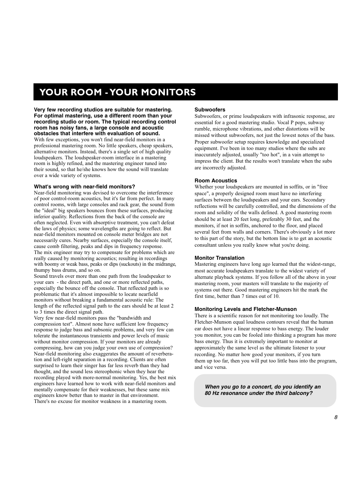# YOUR ROOM - YOUR MONITORS

Very few recording studios are suitable for mastering. For optimal mastering, use a different room than your recording studio or room. The typical recording control room has noisy fans, a large console and acoustic obstacles that interfere with evaluation of sound. With few exceptions, you won't find near-field monitors in a professional mastering room. No little speakers, cheap speakers, alternative monitors. Instead, there's a single set of high quality loudspeakers. The loudspeaker-room interface in a mastering room is highly refined, and the mastering engineer tuned into their sound, so that he/she knows how the sound will translate over a wide variety of systems.

#### What's wrong with near-field monitors?

Near-field monitoring was devised to overcome the interference of poor control-room acoustics, but it's far from perfect. In many control rooms, with large consoles and rack gear, the sound from the "ideal" big speakers bounces from these surfaces, producing inferior quality. Reflections from the back of the console are often neglected. Even with absorptive treatment, you can't defeat the laws of physics; some wavelengths are going to reflect. But near-field monitors mounted on console meter bridges are not necessarily cures. Nearby surfaces, especially the console itself, cause comb filtering, peaks and dips in frequency response. The mix engineer may try to compensate for problems which are really caused by monitoring acoustics; resulting in recordings with boomy or weak bass, peaks or dips (suckouts) in the midrange, thumpy bass drums, and so on.

Sound travels over more than one path from the loudspeaker to your ears - the direct path, and one or more reflected paths, especially the bounce off the console. That reflected path is so problematic that it's almost impossible to locate nearfield monitors without breaking a fundamental acoustic rule: The length of the reflected signal path to the ears should be at least 2 to 3 times the direct signal path.

Very few near-field monitors pass the "bandwidth and compression test". Almost none have sufficient low frequency response to judge bass and subsonic problems, and very few can tolerate the instantaneous transients and power levels of music without monitor compression. If your monitors are already compressing, how can you judge your own use of compression? Near-field monitoring also exaggerates the amount of reverberation and left-right separation in a recording. Clients are often surprised to learn their singer has far less reverb than they had thought, and the sound less stereophonic when they hear the recording played with more-normal monitoring. Yes, the best mix engineers have learned how to work with near-field monitors and mentally compensate for their weaknesses, but these same mix engineers know better than to master in that environment. There's no excuse for monitor weakness in a mastering room.

#### **Subwoofers**

Subwoofers, or prime loudspeakers with infrasonic response, are essential for a good mastering studio. Vocal P pops, subway rumble, microphone vibrations, and other distortions will be missed without subwoofers, not just the lowest notes of the bass. Proper subwoofer setup requires knowledge and specialized equipment. I've been in too many studios where the subs are inaccurately adjusted, usually "too hot", in a vain attempt to impress the client. But the results won't translate when the subs are incorrectly adjusted.

#### **Room Acoustics**

Whether your loudspeakers are mounted in soffits, or in "free space", a properly designed room must have no interfering surfaces between the loudspeakers and your ears. Secondary reflections will be carefully controlled, and the dimensions of the room and solidity of the walls defined. A good mastering room should be at least 20 feet long, preferably 30 feet, and the monitors, if not in soffits, anchored to the floor, and placed several feet from walls and corners. There's obviously a lot more to this part of the story, but the bottom line is to get an acoustic consultant unless you really know what you're doing.

#### **Monitor Translation**

Mastering engineers have long ago learned that the widest-range, most accurate loudspeakers translate to the widest variety of alternate playback systems. If you follow all of the above in your mastering room, your masters will translate to the majority of systems out there. Good mastering engineers hit the mark the first time, better than 7 times out of 10.

#### **Monitoring Levels and Fletcher-Munson**

There is a scientific reason for not monitoring too loudly. The Fletcher-Munson equal loudness contours reveal that the human ear does not have a linear response to bass energy. The louder vou monitor, you can be fooled into thinking a program has more bass energy. Thus it is extremely important to monitor at approximately the same level as the ultimate listener to your recording. No matter how good your monitors, if you turn them up too far, then you will put too little bass into the program, and vice versa

When you go to a concert, do you identify an 80 Hz resonance under the third balcony?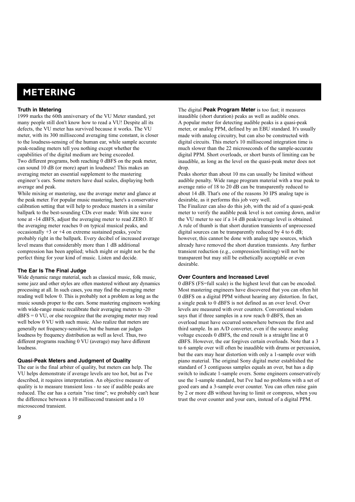## **METERING**

#### **Truth in Metering**

1999 marks the 60th anniversary of the VU Meter standard, yet many people still don't know how to read a VU! Despite all its defects, the VU meter has survived because it works. The VU meter, with its 300 millisecond averaging time constant, is closer to the loudness-sensing of the human ear, while sample accurate peak-reading meters tell you nothing except whether the capabilities of the digital medium are being exceeded. Two different programs, both reaching 0 dBFS on the peak meter, can sound 10 dB (or more) apart in loudness! This makes an averaging meter an essential supplement to the mastering engineer's ears. Some meters have dual scales, displaying both average and peak.

While mixing or mastering, use the average meter and glance at the peak meter. For popular music mastering, here's a conservative calibration setting that will help to produce masters in a similar ballpark to the best-sounding CDs ever made: With sine wave tone at -14 dBFS, adjust the averaging meter to read ZERO. If the averaging meter reaches 0 on typical musical peaks, and occasionally  $+3$  or  $+4$  on extreme sustained peaks, you're probably right in the ballpark. Every decibel of increased average level means that considerably more than 1 dB additional compression has been applied; which might or might not be the perfect thing for your kind of music. Listen and decide.

#### The Ear Is The Final Judge

Wide dynamic range material, such as classical music, folk music, some jazz and other styles are often mastered without any dynamics processing at all. In such cases, you may find the averaging meter reading well below 0. This is probably not a problem as long as the music sounds proper to the ears. Some mastering engineers working with wide-range music recalibrate their averaging meters to -20  $dBFS = 0$  VU, or else recognize that the averaging meter may read well below 0 VU with such music. Also realize that meters are generally not frequency-sensitive, but the human ear judges loudness by frequency distribution as well as level. Thus, two different programs reaching 0 VU (average) may have different loudness.

#### **Quasi-Peak Meters and Judgment of Quality**

The ear is the final arbiter of quality, but meters can help. The VU helps demonstrate if average levels are too hot, but as I've described, it requires interpretation. An objective measure of quality is to measure transient loss - to see if audible peaks are reduced. The ear has a certain "rise time"; we probably can't hear the difference between a 10 millisecond transient and a 10 microsecond transient.

The digital Peak Program Meter is too fast; it measures inaudible (short duration) peaks as well as audible ones. A popular meter for detecting audible peaks is a quasi-peak meter, or analog PPM, defined by an EBU standard. It's usually made with analog circuitry, but can also be constructed with digital circuits. This meter's 10 millisecond integration time is much slower than the 22 microseconds of the sample-accurate digital PPM. Short overloads, or short bursts of limiting can be inaudible, as long as the level on the quasi-peak meter does not drop.

Peaks shorter than about 10 ms can usually be limited without audible penalty. Wide range program material with a true peak to average ratio of 18 to 20  $\overline{AB}$  can be transparently reduced to about 14 dB. That's one of the reasons 30 IPS analog tape is desirable, as it performs this job very well.

The Finalizer can also do this job, with the aid of a quasi-peak meter to verify the audible peak level is not coming down, and/or the VU meter to see if a 14 dB peak/average level is obtained. A rule of thumb is that short duration transients of unprocessed digital sources can be transparently reduced by 4 to 6 dB; however, this cannot be done with analog tape sources, which already have removed the short duration transients. Any further transient reduction (e.g., compression/limiting) will not be transparent but may still be esthetically acceptable or even desirable.

#### **Over Counters and Increased Level**

0 dBFS (FS=full scale) is the highest level that can be encoded. Most mastering engineers have discovered that you can often hit 0 dBFS on a digital PPM without hearing any distortion. In fact, a single peak to 0 dBFS is not defined as an over level. Over levels are measured with over counters. Conventional wisdom says that if three samples in a row reach 0 dBFS, then an overload must have occurred somewhere between the first and third sample. In an A/D converter, even if the source analog voltage exceeds 0 dBFS, the end result is a straight line at 0 dBFS. However, the ear forgives certain overloads. Note that a 3 to 6 sample over will often be inaudible with drums or percussion, but the ears may hear distortion with only a 1-sample over with piano material. The original Sony digital meter established the standard of 3 contiguous samples equals an over, but has a dip switch to indicate 1-sample overs. Some engineers conservatively use the 1-sample standard, but I've had no problems with a set of good ears and a 3-sample over counter. You can often raise gain by 2 or more dB without having to limit or compress, when you trust the over counter and your ears, instead of a digital PPM.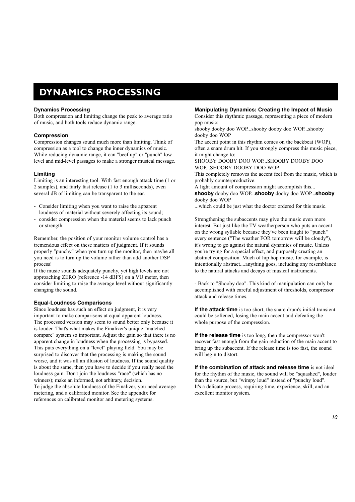## **DYNAMICS PROCESSING**

#### **Dynamics Processing**

Both compression and limiting change the peak to average ratio of music, and both tools reduce dynamic range.

#### **Compression**

Compression changes sound much more than limiting. Think of compression as a tool to change the inner dynamics of music. While reducing dynamic range, it can "beef up" or "punch" low level and mid-level passages to make a stronger musical message.

#### Limitina

Limiting is an interesting tool. With fast enough attack time (1 or 2 samples), and fairly fast release (1 to 3 milliseconds), even several dB of limiting can be transparent to the ear.

- Consider limiting when you want to raise the apparent loudness of material without severely affecting its sound;
- consider compression when the material seems to lack punch or strength.

Remember, the position of your monitor volume control has a tremendous effect on these matters of judgment. If it sounds properly "punchy" when you turn up the monitor, then maybe all you need is to turn up the volume rather than add another DSP process!

If the music sounds adequately punchy, yet high levels are not approaching ZERO (reference -14 dBFS) on a VU meter, then consider limiting to raise the average level without significantly changing the sound.

#### **Equal-Loudness Comparisons**

Since loudness has such an effect on judgment, it is very important to make comparisons at equal apparent loudness. The processed version may seem to sound better only because it is louder. That's what makes the Finalizer's unique "matched compare" system so important. Adjust the gain so that there is no apparent change in loudness when the processing is bypassed. This puts everything on a "level" playing field. You may be surprised to discover that the processing is making the sound worse, and it was all an illusion of loudness. If the sound quality is about the same, then you have to decide if you really need the loudness gain. Don't join the loudness "race" (which has no winners); make an informed, not arbitrary, decision. To judge the absolute loudness of the Finalizer, you need average metering, and a calibrated monitor. See the appendix for references on calibrated monitor and metering systems.

#### **Manipulating Dynamics: Creating the Impact of Music**

Consider this rhythmic passage, representing a piece of modern pop music:

shooby dooby doo WOP...shooby dooby doo WOP...shooby dooby doo WOP

The accent point in this rhythm comes on the backbeat (WOP). often a snare drum hit. If you strongly compress this music piece, it might change to:

SHOOBY DOOBY DOO WOP...SHOOBY DOOBY DOO WOP... SHOOBY DOOBY DOO WOP

This completely removes the accent feel from the music, which is probably counterproductive.

A light amount of compression might accomplish this... shooby dooby doo WOP...shooby dooby doo WOP...shooby dooby doo WOP

...which could be just what the doctor ordered for this music.

Strengthening the subaccents may give the music even more interest. But just like the TV weatherperson who puts an accent on the wrong syllable because they've been taught to "punch" every sentence ("The weather FOR tomorrow will be cloudy"), it's wrong to go against the natural dynamics of music. Unless you're trying for a special effect, and purposely creating an abstract composition. Much of hip hop music, for example, is intentionally abstract....anything goes, including any resemblance to the natural attacks and decays of musical instruments.

- Back to "Shooby doo". This kind of manipulation can only be accomplished with careful adjustment of thresholds, compressor attack and release times.

If the attack time is too short, the snare drum's initial transient could be softened, losing the main accent and defeating the whole purpose of the compression.

If the release time is too long, then the compressor won't recover fast enough from the gain reduction of the main accent to bring up the subaccent. If the release time is too fast, the sound will begin to distort.

If the combination of attack and release time is not ideal for the rhythm of the music, the sound will be "squashed", louder than the source, but "wimpy loud" instead of "punchy loud". It's a delicate process, requiring time, experience, skill, and an excellent monitor system.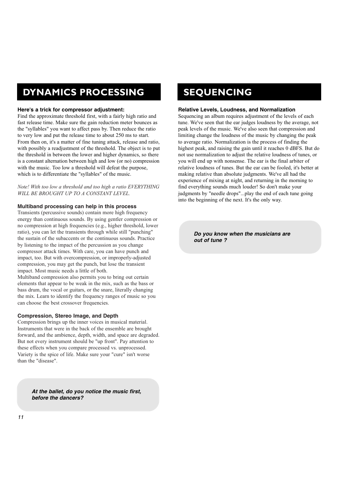# **DYNAMICS PROCESSING**

#### Here's a trick for compressor adjustment:

Find the approximate threshold first, with a fairly high ratio and fast release time. Make sure the gain reduction meter bounces as the "syllables" you want to affect pass by. Then reduce the ratio to very low and put the release time to about 250 ms to start. From then on, it's a matter of fine tuning attack, release and ratio. with possibly a readjustment of the threshold. The object is to put the threshold in between the lower and higher dynamics, so there is a constant alternation between high and low (or no) compression with the music. Too low a threshold will defeat the purpose. which is to differentiate the "syllables" of the music.

Note! With too low a threshold and too high a ratio EVERYTHING WILL BE BROUGHT UP TO A CONSTANT LEVEL.

#### Multiband processing can help in this process

Transients (percussive sounds) contain more high frequency energy than continuous sounds. By using gentler compression or no compression at high frequencies (e.g., higher threshold, lower ratio), you can let the transients through while still "punching" the sustain of the subaccents or the continuous sounds. Practice by listening to the impact of the percussion as you change compressor attack times. With care, you can have punch and impact, too. But with overcompression, or improperly-adjusted compression, you may get the punch, but lose the transient impact. Most music needs a little of both.

Multiband compression also permits you to bring out certain elements that appear to be weak in the mix, such as the bass or bass drum, the vocal or guitars, or the snare, literally changing the mix. Learn to identify the frequency ranges of music so you can choose the best crossover frequencies.

#### **Compression, Stereo Image, and Depth**

Compression brings up the inner voices in musical material. Instruments that were in the back of the ensemble are brought forward, and the ambience, depth, width, and space are degraded. But not every instrument should be "up front". Pay attention to these effects when you compare processed vs. unprocessed. Variety is the spice of life. Make sure your "cure" isn't worse than the "disease".

> At the ballet, do you notice the music first, before the dancers?

# **SEQUENCING**

#### **Relative Levels, Loudness, and Normalization**

Sequencing an album requires adjustment of the levels of each tune. We've seen that the ear judges loudness by the average, not peak levels of the music. We've also seen that compression and limiting change the loudness of the music by changing the peak to average ratio. Normalization is the process of finding the highest peak, and raising the gain until it reaches 0 dBFS. But do not use normalization to adjust the relative loudness of tunes, or you will end up with nonsense. The ear is the final arbiter of relative loudness of tunes. But the ear can be fooled, it's better at making relative than absolute judgments. We've all had the experience of mixing at night, and returning in the morning to find everything sounds much louder! So don't make your judgments by "needle drops"...play the end of each tune going into the beginning of the next. It's the only way.

> Do you know when the musicians are out of tune?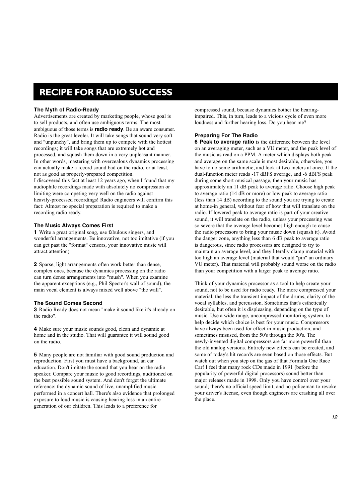### **RECIPE FOR RADIO SUCCESS**

#### The Myth of Radio-Ready

Advertisements are created by marketing people, whose goal is to sell products, and often use ambiguous terms. The most ambiguous of those terms is **radio ready**. Be an aware consumer. Radio is the great leveler. It will take songs that sound very soft and "unpunchy", and bring them up to compete with the hottest recordings; it will take songs that are extremely hot and processed, and squash them down in a very unpleasant manner. In other words, mastering with overzealous dynamics processing can actually make a record sound bad on the radio, or at least, not as good as properly-prepared competition.

I discovered this fact at least 12 years ago, when I found that my audiophile recordings made with absolutely no compression or limiting were competing very well on the radio against heavily-processed recordings! Radio engineers will confirm this fact: Almost no special preparation is required to make a recording radio ready.

#### **The Music Always Comes First**

1 Write a great original song, use fabulous singers, and wonderful arrangements. Be innovative, not too imitative (if you can get past the "format" censors, your innovative music will attract attention).

2 Sparse, light arrangements often work better than dense, complex ones, because the dynamics processing on the radio can turn dense arrangements into "mush". When you examine the apparent exceptions (e.g., Phil Spector's wall of sound), the main vocal element is always mixed well above "the wall".

#### **The Sound Comes Second**

3 Radio Ready does not mean "make it sound like it's already on the radio".

4 Make sure your music sounds good, clean and dynamic at home and in the studio. That will guarantee it will sound good on the radio.

5 Many people are not familiar with good sound production and reproduction. First you must have a background, an ear education. Don't imitate the sound that you hear on the radio speaker. Compare your music to good recordings, auditioned on the best possible sound system. And don't forget the ultimate reference: the dynamic sound of live, unamplified music performed in a concert hall. There's also evidence that prolonged exposure to loud music is causing hearing loss in an entire generation of our children. This leads to a preference for

compressed sound, because dynamics bother the hearingimpaired. This, in turn, leads to a vicious cycle of even more loudness and further hearing loss. Do you hear me?

#### **Preparing For The Radio**

6 Peak to average ratio is the difference between the level on an averaging meter, such as a VU meter, and the peak level of the music as read on a PPM. A meter which displays both peak and average on the same scale is most desirable, otherwise, you have to do some arithmetic, and look at two meters at once. If the dual-function meter reads -17 dBFS average, and -6 dBFS peak during some short musical passage, then your music has approximately an 11 dB peak to average ratio. Choose high peak to average ratio (14 dB or more) or low peak to average ratio (less than 14 dB) according to the sound you are trying to create at home-in general, without fear of how that will translate on the radio. If lowered peak to average ratio is part of your creative sound, it will translate on the radio, unless your processing was so severe that the average level becomes high enough to cause the radio processors to bring your music down (squash it). Avoid the danger zone, anything less than 6 dB peak to average ratio is dangerous, since radio processors are designed to try to maintain an average level, and they literally clamp material with too high an average level (material that would "pin" an ordinary VU meter). That material will probably sound worse on the radio than your competition with a larger peak to average ratio.

Think of your dynamics processor as a tool to help create your sound, not to be used for radio ready. The more compressed your material, the less the transient impact of the drums, clarity of the vocal syllables, and percussion. Sometimes that's esthetically desirable, but often it is displeasing, depending on the type of music. Use a wide range, uncompressed monitoring system, to help decide which choice is best for your music. Compressors have always been used for effect in music production, and sometimes misused, from the 50's through the 90's. The newly-invented digital compressors are far more powerful than the old analog versions. Entirely new effects can be created, and some of today's hit records are even based on those effects. But watch out when you step on the gas of that Formula One Race Car! I feel that many rock CDs made in 1991 (before the popularity of powerful digital processors) sound better than major releases made in 1998. Only you have control over your sound; there's no official speed limit, and no policeman to revoke your driver's license, even though engineers are crashing all over the place.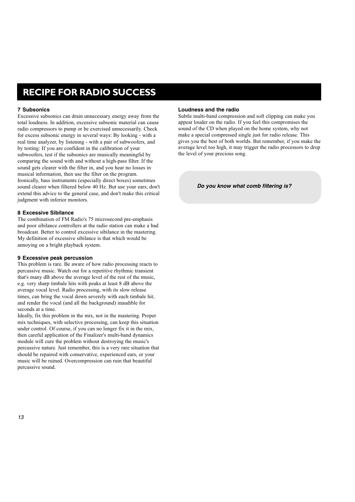# **RECIPE FOR RADIO SUCCESS**

#### **7 Subsonics**

Excessive subsonics can drain unnecessary energy away from the total loudness. In addition, excessive subsonic material can cause radio compressors to pump or be exercised unnecessarily. Check for excess subsonic energy in several ways: By looking - with a real time analyzer, by listening - with a pair of subwoofers, and by testing: If you are confident in the calibration of your subwoofers, test if the subsonics are musically meaningful by comparing the sound with and without a high-pass filter. If the sound gets clearer with the filter in, and you hear no losses in musical information, then use the filter on the program. Ironically, bass instruments (especially direct boxes) sometimes sound clearer when filtered below 40 Hz. But use your ears; don't extend this advice to the general case, and don't make this critical judgment with inferior monitors.

#### **8 Excessive Sibilance**

The combination of FM Radio's 75 microsecond pre-emphasis and poor sibilance controllers at the radio station can make a bad broadcast. Better to control excessive sibilance in the mastering. My definition of excessive sibilance is that which would be annoying on a bright playback system.

#### 9 Excessive peak percussion

This problem is rare. Be aware of how radio processing reacts to percussive music. Watch out for a repetitive rhythmic transient that's many dB above the average level of the rest of the music, e.g. very sharp timbale hits with peaks at least 8 dB above the average vocal level. Radio processing, with its slow release times, can bring the vocal down severely with each timbale hit, and render the vocal (and all the background) inaudible for seconds at a time.

Ideally, fix this problem in the mix, not in the mastering. Proper mix techniques, with selective processing, can keep this situation under control. Of course, if you can no longer fix it in the mix, then careful application of the Finalizer's multi-band dynamics module will cure the problem without destroying the music's percussive nature. Just remember, this is a very rare situation that should be repaired with conservative, experienced ears, or your music will be ruined. Overcompression can ruin that beautiful percussive sound.

#### Loudness and the radio

Subtle multi-band compression and soft clipping can make you appear louder on the radio. If you feel this compromises the sound of the CD when played on the home system, why not make a special compressed single just for radio release. This gives you the best of both worlds. But remember, if you make the average level too high, it may trigger the radio processors to drop the level of your precious song.

Do you know what comb filtering is?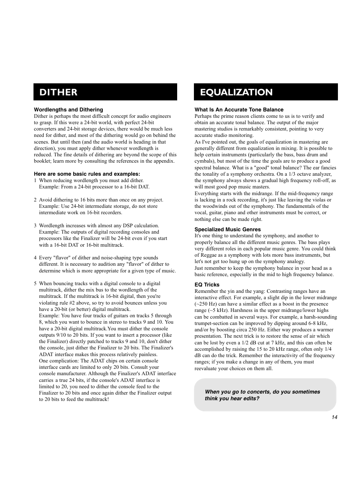# **DITHER**

#### **Wordlengths and Dithering**

Dither is perhaps the most difficult concept for audio engineers to grasp. If this were a 24-bit world, with perfect 24-bit converters and 24-bit storage devices, there would be much less need for dither, and most of the dithering would go on behind the scenes. But until then (and the audio world is heading in that direction), you must apply dither whenever wordlength is reduced. The fine details of dithering are beyond the scope of this booklet; learn more by consulting the references in the appendix.

#### Here are some basic rules and examples:

- 1 When reducing wordlength you must add dither. Example: From a 24-bit processor to a 16-bit DAT.
- 2 Avoid dithering to 16 bits more than once on any project. Example: Use 24-bit intermediate storage, do not store intermediate work on 16-bit recorders.
- 3 Wordlength increases with almost any DSP calculation. Example: The outputs of digital recording consoles and processors like the Finalizer will be 24-bit even if you start with a 16-bit DAT or 16-bit multitrack.
- 4 Every "flavor" of dither and noise-shaping type sounds different. It is necessary to audition any "flavor" of dither to determine which is more appropriate for a given type of music.
- 5 When bouncing tracks with a digital console to a digital multitrack, dither the mix bus to the wordlength of the multitrack. If the multitrack is 16-bit digital, then you're violating rule #2 above, so try to avoid bounces unless you have a 20-bit (or better) digital multitrack. Example: You have four tracks of guitars on tracks 5 through 8, which you want to bounce in stereo to tracks 9 and 10. You have a 20-bit digital multitrack. You must dither the console outputs 9/10 to 20 bits. If you want to insert a processor (like the Finalizer) directly patched to tracks 9 and 10, don't dither the console, just dither the Finalizer to 20 bits. The Finalizer's ADAT interface makes this process relatively painless. One complication: The ADAT chips on certain console interface cards are limited to only 20 bits. Consult your console manufacturer. Although the Finalizer's ADAT interface carries a true 24 bits, if the console's ADAT interface is limited to 20, you need to dither the console feed to the Finalizer to 20 bits and once again dither the Finalizer output to 20 bits to feed the multitrack!

### **EQUALIZATION**

#### What Is An Accurate Tone Balance

Perhaps the prime reason clients come to us is to verify and obtain an accurate tonal balance. The output of the major mastering studios is remarkably consistent, pointing to very accurate studio monitoring.

As I've pointed out, the goals of equalization in mastering are generally different from equalization in mixing. It is possible to help certain instruments (particularly the bass, bass drum and cymbals), but most of the time the goals are to produce a good spectral balance. What is a "good" tonal balance? The ear fancies the tonality of a symphony orchestra. On a 1/3 octave analyzer, the symphony always shows a gradual high frequency roll-off, as will most good pop music masters.

Everything starts with the midrange. If the mid-frequency range is lacking in a rock recording, it's just like leaving the violas or the woodwinds out of the symphony. The fundamentals of the vocal, guitar, piano and other instruments must be correct, or nothing else can be made right.

#### **Specialized Music Genres**

It's one thing to understand the symphony, and another to properly balance all the different music genres. The bass plays very different roles in each popular music genre. You could think of Reggae as a symphony with lots more bass instruments, but let's not get too hung up on the symphony analogy. Just remember to keep the symphony balance in your head as a basic reference, especially in the mid to high frequency balance.

#### **EQ Tricks**

Remember the vin and the vang: Contrasting ranges have an interactive effect. For example, a slight dip in the lower midrange  $(\sim 250 \text{ Hz})$  can have a similar effect as a boost in the presence range ( $\sim$ 5 kHz). Harshness in the upper midrange/lower highs can be combatted in several ways. For example, a harsh-sounding trumpet-section can be improved by dipping around 6-8 kHz, and/or by boosting circa 250 Hz. Either way produces a warmer presentation. The next trick is to restore the sense of air which can be lost by even a 1/2 dB cut at 7 kHz, and this can often be accomplished by raising the 15 to 20 kHz range, often only 1/4 dB can do the trick. Remember the interactivity of the frequency ranges; if you make a change in any of them, you must reevaluate your choices on them all.

When you go to concerts, do you sometimes think you hear edits?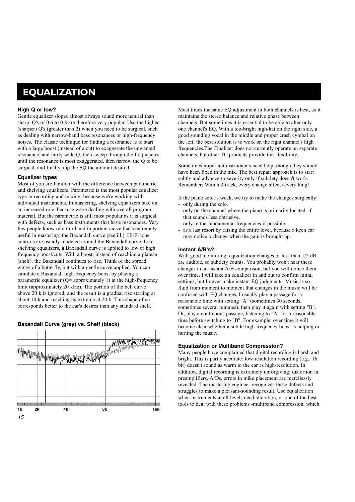### **EQUALIZATION**

#### High Q or low?

Gentle equalizer slopes almost always sound more natural than sharp. O's of 0.6 to 0.8 are therefore very popular. Use the higher (sharper) Q's (greater than 2) when you need to be surgical, such as dealing with narrow-band bass resonances or high-frequency noises. The classic technique for finding a resonance is to start with a large boost (instead of a cut) to exaggerate the unwanted resonance, and fairly wide Q, then sweep through the frequencies until the resonance is most exaggerated, then narrow the Q to be surgical, and finally, dip the EO the amount desired.

#### **Equalizer types**

Most of you are familiar with the difference between parametric and shelving equalizers. Parametric is the most popular equalizer type in recording and mixing, because we're working with individual instruments. In mastering, shelving equalizers take on an increased role, because we're dealing with overall program material. But the parametric is still most popular as it is surgical with defects, such as bass instruments that have resonances. Very few people know of a third and important curve that's extremely useful in mastering: the Baxandall curve (see ill.). Hi-Fi tone controls are usually modeled around the Baxandall curve. Like shelving equalizers, a Baxandall curve is applied to low or high frequency boost/cuts. With a boost, instead of reaching a plateau (shelf), the Baxandall continues to rise. Think of the spread wings of a butterfly, but with a gentle curve applied. You can simulate a Baxandall high frequency boost by placing a parametric equalizer  $(Q=$  approximately 1) at the high-frequency limit (approximately 20 kHz). The portion of the bell curve above 20 k is ignored, and the result is a gradual rise starting at about 10 k and reaching its extreme at 20 k. This shape often corresponds better to the ear's desires than any standard shelf.



#### Baxandall Curve (grey) vs. Shelf (black)

Most times the same EQ adjustment in both channels is best, as it maintains the stereo balance and relative phase between channels. But sometimes it is essential to be able to alter only one channel's EO. With a too-bright high-hat on the right side, a good sounding vocal in the middle and proper crash cymbal on the left, the best solution is to work on the right channel's high frequencies. The Finalizer does not currently operate on separate channels, but other TC products provide this flexibility.

Sometimes important instruments need help, though they should have been fixed in the mix. The best repair approach is to start subtly and advance to severity only if subtlety doesn't work. Remember: With a 2-track, every change affects everything!

If the piano solo is weak, we try to make the changes surgically:

- only during the solo.
- only on the channel where the piano is primarily located, if that sounds less obtrusive.
- only in the fundamental frequencies if possible.
- $\overline{a}$ as a last resort by raising the entire level, because a keen ear may notice a change when the gain is brought up.

#### Instant A/B's?

With good monitoring, equalization changes of less than 1/2 dB are audible, so subtlety counts. You probably won't hear these changes in an instant A/B comparison, but you will notice them over time. I will take an equalizer in and out to confirm initial settings, but I never make instant EQ judgments. Music is so fluid from moment to moment that changes in the music will be confused with EQ changes. I usually play a passage for a reasonable time with setting "A" (sometimes 30 seconds, sometimes several minutes), then play it again with setting "B". Or, play a continuous passage, listening to "A" for a reasonable time before switching to "B". For example, over time it will become clear whether a subtle high frequency boost is helping or hurting the music.

#### **Equalization or Multiband Compression?**

Many people have complained that digital recording is harsh and bright. This is partly accurate: low-resolution recording (e.g., 16 bit) doesn't sound as warm to the ear as high-resolution. In addition, digital recording is extremely unforgiving; distortion in preamplifiers, A/Ds, errors in mike placement are mercilessly revealed. The mastering engineer recognizes these defects and struggles to make a pleasant-sounding result. Use equalization when instruments at all levels need alteration, or one of the best tools to deal with these problems -multiband compression, which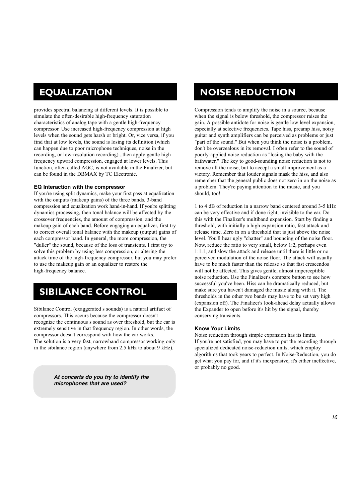# **EQUALIZATION**

provides spectral balancing at different levels. It is possible to simulate the often-desirable high-frequency saturation characteristics of analog tape with a gentle high-frequency compressor. Use increased high-frequency compression at high levels when the sound gets harsh or bright. Or, vice versa, if you find that at low levels, the sound is losing its definition (which can happen due to poor microphone techniques, noise in the recording, or low-resolution recording)...then apply gentle high frequency upward compression, engaged at lower levels. This function, often called AGC, is not available in the Finalizer, but can be found in the DBMAX by TC Electronic.

#### EQ Interaction with the compressor

If you're using split dynamics, make your first pass at equalization with the outputs (makeup gains) of the three bands. 3-band compression and equalization work hand-in-hand. If you're splitting dynamics processing, then tonal balance will be affected by the crossover frequencies, the amount of compression, and the makeup gain of each band. Before engaging an equalizer, first try to correct overall tonal balance with the makeup (output) gains of each compressor band. In general, the more compression, the "duller" the sound, because of the loss of transients. I first try to solve this problem by using less compression, or altering the attack time of the high-frequency compressor, but you may prefer to use the makeup gain or an equalizer to restore the high-frequency balance.

## **SIBILANCE CONTROL**

Sibilance Control (exaggerated s sounds) is a natural artifact of compressors. This occurs because the compressor doesn't recognize the continuous s sound as over threshold, but the ear is extremely sensitive in that frequency region. In other words, the compressor doesn't correspond with how the ear works. The solution is a very fast, narrowband compressor working only in the sibilance region (anywhere from 2.5 kHz to about 9 kHz).

> At concerts do you try to identify the microphones that are used?

### **NOISE REDUCTION**

Compression tends to amplify the noise in a source, because when the signal is below threshold, the compressor raises the gain. A possible antidote for noise is gentle low level expansion, especially at selective frequencies. Tape hiss, preamp hiss, noisy guitar and synth amplifiers can be perceived as problems or just "part of the sound." But when you think the noise is a problem, don't be overzealous in its removal. I often refer to the sound of poorly-applied noise reduction as "losing the baby with the bathwater." The key to good-sounding noise reduction is not to remove all the noise, but to accept a small improvement as a victory. Remember that louder signals mask the hiss, and also remember that the general public does not zero in on the noise as a problem. They're paying attention to the music, and you should, too!

1 to 4 dB of reduction in a narrow band centered around 3-5 kHz can be very effective and if done right, invisible to the ear. Do this with the Finalizer's multiband expansion. Start by finding a threshold, with initially a high expansion ratio, fast attack and release time. Zero in on a threshold that is just above the noise level. You'll hear ugly "chatter" and bouncing of the noise floor. Now, reduce the ratio to very small, below 1:2, perhaps even 1:1.1, and slow the attack and release until there is little or no perceived modulation of the noise floor. The attack will usually have to be much faster than the release so that fast crescendos will not be affected. This gives gentle, almost imperceptible noise reduction. Use the Finalizer's compare button to see how successful you've been. Hiss can be dramatically reduced, but make sure you haven't damaged the music along with it. The thresholds in the other two bands may have to be set very high (expansion off). The Finalizer's look-ahead delay actually allows the Expander to open before it's hit by the signal, thereby conserving transients.

#### **Know Your Limits**

Noise reduction through simple expansion has its limits. If you're not satisfied, you may have to put the recording through specialized dedicated noise-reduction units, which employ algorithms that took years to perfect. In Noise-Reduction, you do get what you pay for, and if it's inexpensive, it's either ineffective, or probably no good.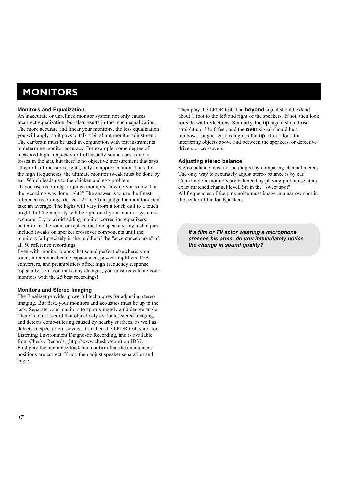# **MONITORS**

#### **Monitors and Equalization**

An inaccurate or unrefined monitor system not only causes incorrect equalization, but also results in too much equalization. The more accurate and linear vour monitors, the less equalization you will apply, so it pays to talk a bit about monitor adjustment. The ear/brain must be used in conjunction with test instruments to determine monitor accuracy. For example, some degree of measured high-frequency roll-off usually sounds best (due to losses in the air), but there is no objective measurement that says "this roll-off measures right", only an approximation. Thus, for the high frequencies, the ultimate monitor tweak must be done by ear. Which leads us to the chicken and egg problem: "If you use recordings to judge monitors, how do you know that the recording was done right?" The answer is to use the finest reference recordings (at least 25 to 50) to judge the monitors, and take an average. The highs will vary from a touch dull to a touch bright, but the majority will be right on if your monitor system is

accurate. Try to avoid adding monitor correction equalizers; better to fix the room or replace the loudspeakers; my techniques include tweaks on speaker crossover components until the monitors fall precisely in the middle of the "acceptance curve" of all 50 reference recordings.

Even with monitor brands that sound perfect elsewhere, your room, interconnect cable capacitance, power amplifiers, D/A converters, and preamplifiers affect high frequency response especially, so if you make any changes, you must reevaluate your monitors with the 25 best recordings!

#### **Monitors and Stereo Imaging**

The Finalizer provides powerful techniques for adjusting stereo imaging. But first, your monitors and acoustics must be up to the task. Separate your monitors to approximately a 60 degree angle. There is a test record that objectively evaluates stereo imaging, and detects comb-filtering caused by nearby surfaces, as well as defects in speaker crossovers. It's called the LEDR test, short for Listening Environment Diagnostic Recording, and is available from Chesky Records, (http://www.chesky/com) on JD37. First play the announce track and confirm that the announcer's positions are correct. If not, then adjust speaker separation and angle.

Then play the LEDR test. The **beyond** signal should extend about 1 foot to the left and right of the speakers. If not, then look for side wall reflections. Similarly, the **up** signal should rise straight up, 3 to 6 feet, and the **over** signal should be a rainbow rising at least as high as the up. If not, look for interfering objects above and between the speakers, or defective drivers or crossovers.

#### **Adjusting stereo balance**

Stereo balance must not be judged by comparing channel meters. The only way to accurately adjust stereo balance is by ear. Confirm your monitors are balanced by playing pink noise at an exact matched channel level. Sit in the "sweet spot". All frequencies of the pink noise must image in a narrow spot in the center of the loudspeakers.

If a film or TV actor wearing a microphone crosses his arms, do you immediately notice the change in sound quality?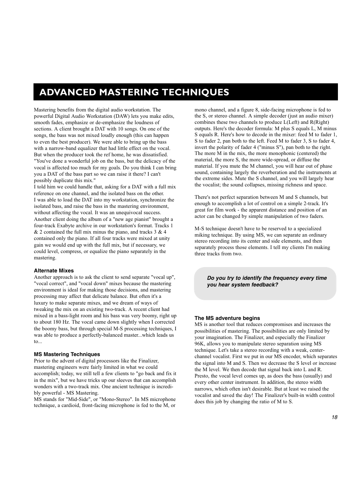# **ADVANCED MASTERING TECHNIQUES**

Mastering benefits from the digital audio workstation. The powerful Digital Audio Workstation (DAW) lets you make edits, smooth fades, emphasize or de-emphasize the loudness of sections. A client brought a DAT with 10 songs. On one of the songs, the bass was not mixed loudly enough (this can happen to even the best producer). We were able to bring up the bass with a narrow-band equalizer that had little effect on the vocal. But when the producer took the ref home, he was dissatisfied. "You've done a wonderful job on the bass, but the delicacy of the vocal is affected too much for my goals. Do you think I can bring you a DAT of the bass part so we can raise it there? I can't possibly duplicate this mix."

I told him we could handle that, asking for a DAT with a full mix reference on one channel, and the isolated bass on the other. I was able to load the DAT into my workstation, synchronize the isolated bass, and raise the bass in the mastering environment. without affecting the vocal. It was an unequivocal success. Another client doing the album of a "new age pianist" brought a four-track Exabyte archive in our workstation's format. Tracks 1 & 2 contained the full mix minus the piano, and tracks 3 & 4 contained only the piano. If all four tracks were mixed at unity gain we would end up with the full mix, but if necessary, we could level, compress, or equalize the piano separately in the mastering.

#### **Alternate Mixes**

Another approach is to ask the client to send separate "vocal up", "vocal correct", and "vocal down" mixes because the mastering environment is ideal for making those decisions, and mastering processing may affect that delicate balance. But often it's a luxury to make separate mixes, and we dream of ways of tweaking the mix on an existing two-track. A recent client had mixed in a bass-light room and his bass was very boomy, right up to about 180 Hz. The vocal came down slightly when I corrected the boomy bass, but through special M-S processing techniques, I was able to produce a perfectly-balanced master...which leads us  $\mathsf{to}$ ...

#### **MS Mastering Techniques**

Prior to the advent of digital processors like the Finalizer, mastering engineers were fairly limited in what we could accomplish; today, we still tell a few clients to "go back and fix it in the mix", but we have tricks up our sleeves that can accomplish wonders with a two-track mix. One ancient technique is incredibly powerful - MS Mastering.

MS stands for "Mid-Side", or "Mono-Stereo". In MS microphone technique, a cardioid, front-facing microphone is fed to the M, or

mono channel, and a figure 8, side-facing microphone is fed to the S, or stereo channel. A simple decoder (just an audio mixer) combines these two channels to produce L(Left) and R(Right) outputs. Here's the decoder formula: M plus S equals L, M minus S equals R. Here's how to decode in the mixer: feed M to fader 1. S to fader 2, pan both to the left. Feed M to fader 3, S to fader 4. invert the polarity of fader 4 ("minus S"), pan both to the right. The more M in the mix, the more monophonic (centered) the material, the more S, the more wide-spread, or diffuse the material. If you mute the M channel, you will hear out of phase sound, containing largely the reverberation and the instruments at the extreme sides. Mute the S channel, and you will largely hear the vocalist; the sound collapses, missing richness and space.

There's not perfect separation between M and S channels, but enough to accomplish a lot of control on a simple 2-track. It's great for film work - the apparent distance and position of an actor can be changed by simple manipulation of two faders.

M-S technique doesn't have to be reserved to a specialized miking technique. By using MS, we can separate an ordinary stereo recording into its center and side elements, and then separately process those elements. I tell my clients I'm making three tracks from two.

Do you try to identify the frequency every time vou hear system feedback?

#### The MS adventure begins

MS is another tool that reduces compromises and increases the possibilities of mastering. The possibilities are only limited by your imagination. The Finalizer, and especially the Finalizer 96K, allows you to manipulate stereo separation using MS technique. Let's take a stereo recording with a weak, centerchannel vocalist. First we put in our MS encoder, which separates the signal into M and S. Then we decrease the S level or increase the M level. We then decode that signal back into L and R. Presto, the vocal level comes up, as does the bass (usually) and every other center instrument. In addition, the stereo width narrows, which often isn't desirable. But at least we raised the vocalist and saved the day! The Finalizer's built-in width control does this job by changing the ratio of M to S.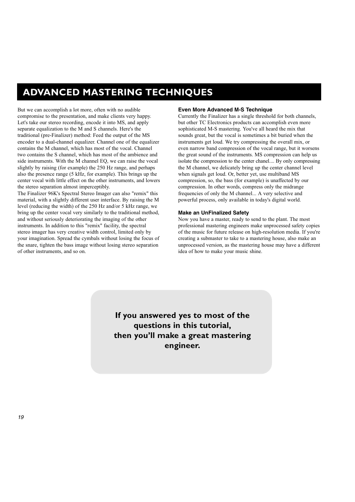# **ADVANCED MASTERING TECHNIQUES**

But we can accomplish a lot more, often with no audible compromise to the presentation, and make clients very happy. Let's take our stereo recording, encode it into MS, and apply separate equalization to the M and S channels. Here's the traditional (pre-Finalizer) method: Feed the output of the MS encoder to a dual-channel equalizer. Channel one of the equalizer contains the M channel, which has most of the vocal. Channel two contains the S channel, which has most of the ambience and side instruments. With the M channel EQ, we can raise the vocal slightly by raising (for example) the 250 Hz range, and perhaps also the presence range (5 kHz, for example). This brings up the center vocal with little effect on the other instruments, and lowers the stereo separation almost imperceptibly.

The Finalizer 96K's Spectral Stereo Imager can also "remix" this material, with a slightly different user interface. By raising the M level (reducing the width) of the 250 Hz and/or 5 kHz range, we bring up the center vocal very similarly to the traditional method, and without seriously deteriorating the imaging of the other instruments. In addition to this "remix" facility, the spectral stereo imager has very creative width control, limited only by your imagination. Spread the cymbals without losing the focus of the snare, tighten the bass image without losing stereo separation of other instruments, and so on.

#### **Even More Advanced M-S Technique**

Currently the Finalizer has a single threshold for both channels, but other TC Electronics products can accomplish even more sophisticated M-S mastering. You've all heard the mix that sounds great, but the vocal is sometimes a bit buried when the instruments get loud. We try compressing the overall mix, or even narrow band compression of the vocal range, but it worsens the great sound of the instruments. MS compression can help us isolate the compression to the center chanel.... By only compressing the M channel, we delicately bring up the center channel level when signals get loud. Or, better yet, use multiband MS compression, so, the bass (for example) is unaffected by our compression. In other words, compress only the midrange frequencies of only the M channel... A very selective and powerful process, only available in today's digital world.

#### **Make an UnFinalized Safety**

Now you have a master, ready to send to the plant. The most professional mastering engineers make unprocessed safety copies of the music for future release on high-resolution media. If you're creating a submaster to take to a mastering house, also make an unprocessed version, as the mastering house may have a different idea of how to make your music shine.

If you answered yes to most of the questions in this tutorial. then you'll make a great mastering engineer.